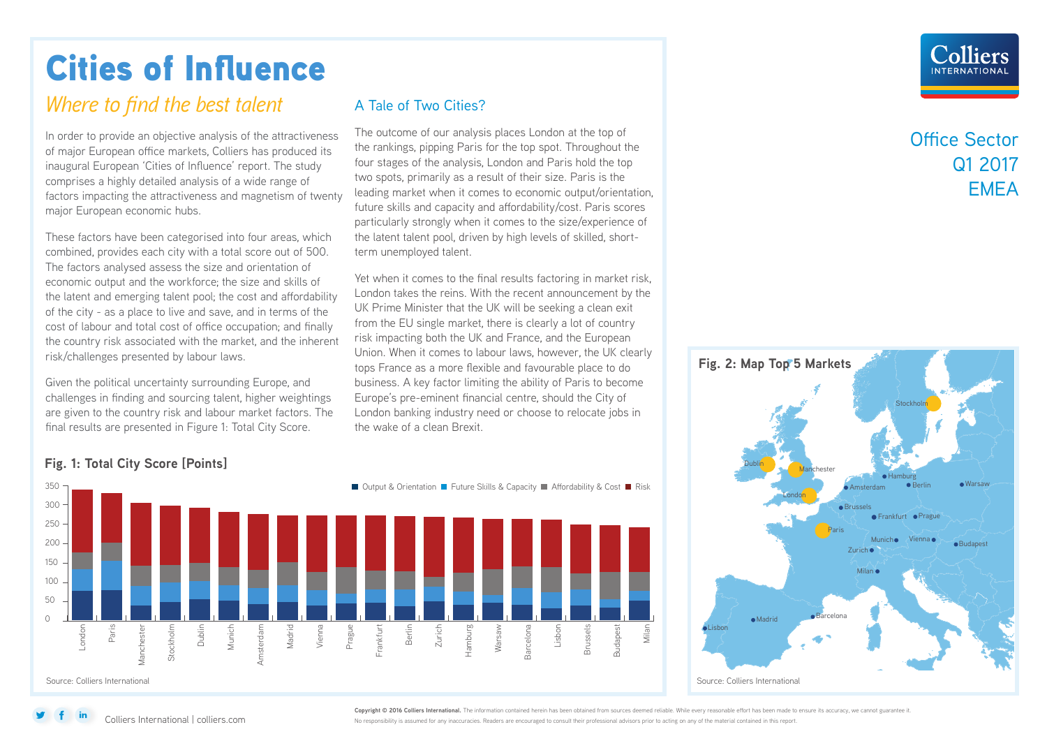# Cities of Influence

## *Where to find the best talent* A Tale of Two Cities?

In order to provide an objective analysis of the attractiveness of major European office markets, Colliers has produced its inaugural European 'Cities of Influence' report. The study comprises a highly detailed analysis of a wide range of factors impacting the attractiveness and magnetism of twenty major European economic hubs.

These factors have been categorised into four areas, which combined, provides each city with a total score out of 500. The factors analysed assess the size and orientation of economic output and the workforce; the size and skills of the latent and emerging talent pool; the cost and affordability of the city - as a place to live and save, and in terms of the cost of labour and total cost of office occupation; and finally the country risk associated with the market, and the inherent risk/challenges presented by labour laws.

Given the political uncertainty surrounding Europe, and challenges in finding and sourcing talent, higher weightings are given to the country risk and labour market factors. The final results are presented in Figure 1: Total City Score.

The outcome of our analysis places London at the top of the rankings, pipping Paris for the top spot. Throughout the four stages of the analysis, London and Paris hold the top two spots, primarily as a result of their size. Paris is the leading market when it comes to economic output/orientation, future skills and capacity and affordability/cost. Paris scores particularly strongly when it comes to the size/experience of the latent talent pool, driven by high levels of skilled, shortterm unemployed talent.

Yet when it comes to the final results factoring in market risk, London takes the reins. With the recent announcement by the UK Prime Minister that the UK will be seeking a clean exit from the EU single market, there is clearly a lot of country risk impacting both the UK and France, and the European Union. When it comes to labour laws, however, the UK clearly tops France as a more flexible and favourable place to do business. A key factor limiting the ability of Paris to become Europe's pre-eminent financial centre, should the City of London banking industry need or choose to relocate jobs in the wake of a clean Brexit.

## Office Sector Q1 2017 **FMFA**



### 350 ■ Output & Orientation ■ Future Skills & Capacity ■ Affordability & Cost ■ Risk 300 250 200 150 100 50 0 Madrid Munich Vienna Prague Frankfurt Berlin Zurich amburg Warsaw arcelona Lisbon Budapest London<br>Paris<br>Manchester<br>Stockholm<br>Dublin msterdam Amsterdam Barcelona Milan Brussels Source: Colliers International

## **Fig. 1: Total City Score [Points]**

Colliers International | colliers.com

**Copyright © 2016 Colliers International.** The information contained herein has been obtained from sources deemed reliable. While every reasonable effort has been made to ensure its accuracy, we cannot guarantee it. No responsibility is assumed for any inaccuracies. Readers are encouraged to consult their professional advisors prior to acting on any of the material contained in this report.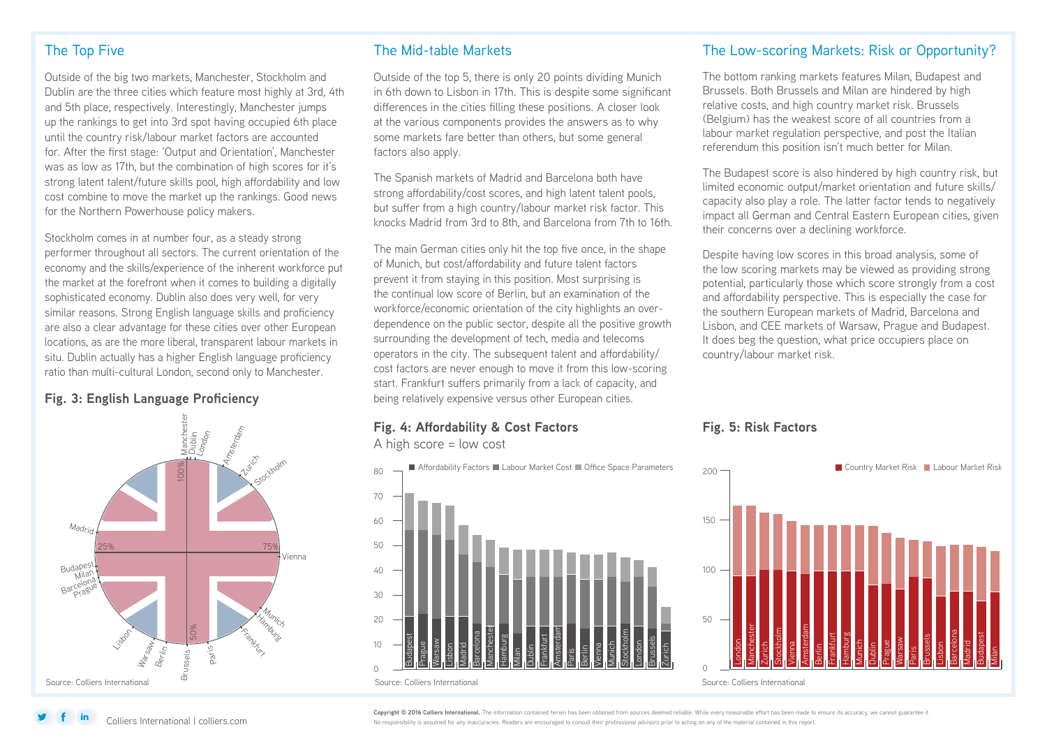## The Top Five

Outside of the big two markets, Manchester, Stockholm and Dublin are the three cities which feature most highly at 3rd, 4th and 5th place, respectively. Interestingly, Manchester jumps up the rankings to get into 3rd spot having occupied 6th place until the country risk/labour market factors are accounted for. After the first stage: 'Output and Orientation', Manchester was as low as 17th, but the combination of high scores for it's strong latent talent/future skills pool, high affordability and low cost combine to move the market up the rankings. Good news for the Northern Powerhouse policy makers.

Stockholm comes in at number four, as a steady strong performer throughout all sectors. The current orientation of the economy and the skills/experience of the inherent workforce put the market at the forefront when it comes to building a digitally sophisticated economy. Dublin also does very well, for very similar reasons. Strong English language skills and proficiency are also a clear advantage for these cities over other European locations, as are the more liberal, transparent labour markets in situ. Dublin actually has a higher English language proficiency ratio than multi-cultural London, second only to Manchester.



## The Mid-table Markets

Outside of the top 5, there is only 20 points dividing Munich in 6th down to Lisbon in 17th. This is despite some significant differences in the cities filling these positions. A closer look at the various components provides the answers as to why some markets fare better than others, but some general factors also apply.

The Spanish markets of Madrid and Barcelona both have strong affordability/cost scores, and high latent talent pools, but suffer from a high country/labour market risk factor. This knocks Madrid from 3rd to 8th, and Barcelona from 7th to 16th.

The main German cities only hit the top five once, in the shape of Munich, but cost/affordability and future talent factors prevent it from staying in this position. Most surprising is the continual low score of Berlin, but an examination of the workforce/economic orientation of the city highlights an overdependence on the public sector, despite all the positive growth surrounding the development of tech, media and telecoms operators in the city. The subsequent talent and affordability/ cost factors are never enough to move it from this low-scoring start. Frankfurt suffers primarily from a lack of capacity, and **Fig. 3: English Language Proficiency** being relatively expensive versus other European cities.

## **Fig. 4: Affordability & Cost Factors**

A high score = low cost

 $80$ ■ Affordability Factors ■ Labour Market Cost ■ Office Space Parameters



## The Low-scoring Markets: Risk or Opportunity?

The bottom ranking markets features Milan, Budapest and Brussels. Both Brussels and Milan are hindered by high relative costs, and high country market risk. Brussels (Belgium) has the weakest score of all countries from a labour market regulation perspective, and post the Italian referendum this position isn't much better for Milan.

The Budapest score is also hindered by high country risk, but limited economic output/market orientation and future skills/ capacity also play a role. The latter factor tends to negatively impact all German and Central Eastern European cities, given their concerns over a declining workforce.

Despite having low scores in this broad analysis, some of the low scoring markets may be viewed as providing strong potential, particularly those which score strongly from a cost and affordability perspective. This is especially the case for the southern European markets of Madrid, Barcelona and Lisbon, and CEE markets of Warsaw, Prague and Budapest. It does beg the question, what price occupiers place on country/labour market risk.

## **Fig. 5: Risk Factors**



Copyright © 2016 Colliers International. The information contained herein has been obtained from sources deemed reliable. While every reasonable effort has been made to ensure its accuracy, we cannot guarantee it No responsibility is assumed for any inaccuracies. Readers are encouraged to consult their professional advisors prior to acting on any of the material contained in this report.